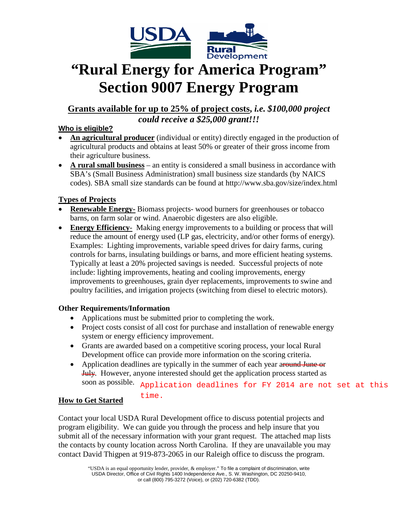

# **"Rural Energy for America Program" Section 9007 Energy Program**

### **Grants available for up to 25% of project costs,** *i.e. \$100,000 project could receive a \$25,000 grant!!!*

#### **Who is eligible?**

- **An agricultural producer** (individual or entity) directly engaged in the production of agricultural products and obtains at least 50% or greater of their gross income from their agriculture business.
- **A rural small business** an entity is considered a small business in accordance with SBA's (Small Business Administration) small business size standards (by NAICS codes). SBA small size standards can be found at http://www.sba.gov/size/index.html

### **Types of Projects**

- **Renewable Energy-** Biomass projects- wood burners for greenhouses or tobacco barns, on farm solar or wind. Anaerobic digesters are also eligible.
- **Energy Efficiency** Making energy improvements to a building or process that will reduce the amount of energy used (LP gas, electricity, and/or other forms of energy). Examples: Lighting improvements, variable speed drives for dairy farms, curing controls for barns, insulating buildings or barns, and more efficient heating systems. Typically at least a 20% projected savings is needed. Successful projects of note include: lighting improvements, heating and cooling improvements, energy improvements to greenhouses, grain dyer replacements, improvements to swine and poultry facilities, and irrigation projects (switching from diesel to electric motors).

#### **Other Requirements/Information**

- Applications must be submitted prior to completing the work.
- Project costs consist of all cost for purchase and installation of renewable energy system or energy efficiency improvement.
- Grants are awarded based on a competitive scoring process, your local Rural Development office can provide more information on the scoring criteria.
- Application deadlines are typically in the summer of each year around June or July. However, anyone interested should get the application process started as soon as possible.

Application deadlines for FY 2014 are not set at this

#### **How to Get Started** time.

Contact your local USDA Rural Development office to discuss potential projects and program eligibility. We can guide you through the process and help insure that you submit all of the necessary information with your grant request. The attached map lists the contacts by county location across North Carolina. If they are unavailable you may contact David Thigpen at 919-873-2065 in our Raleigh office to discuss the program.